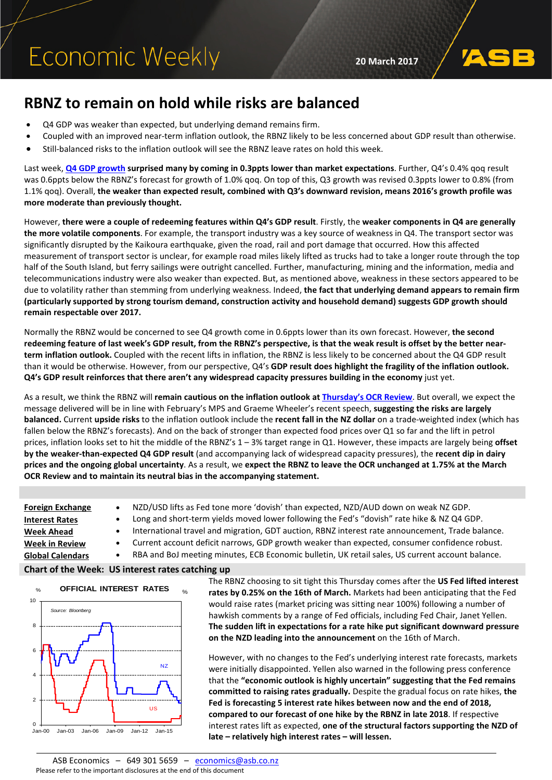# **RBNZ to remain on hold while risks are balanced**

- Q4 GDP was weaker than expected, but underlying demand remains firm.
- Coupled with an improved near-term inflation outlook, the RBNZ likely to be less concerned about GDP result than otherwise.
- Still-balanced risks to the inflation outlook will see the RBNZ leave rates on hold this week.

Last week, **[Q4 GDP growth](https://www.asb.co.nz/content/dam/asb/documents/reports/economic-note/GDP%20Review%20Q4%202016.pdf) surprised many by coming in 0.3ppts lower than market expectations**. Further, Q4's 0.4% qoq result was 0.6ppts below the RBNZ's forecast for growth of 1.0% qoq. On top of this, Q3 growth was revised 0.3ppts lower to 0.8% (from 1.1% qoq). Overall, **the weaker than expected result, combined with Q3's downward revision, means 2016's growth profile was more moderate than previously thought.**

However, **there were a couple of redeeming features within Q4's GDP result**. Firstly, the **weaker components in Q4 are generally the more volatile components**. For example, the transport industry was a key source of weakness in Q4. The transport sector was significantly disrupted by the Kaikoura earthquake, given the road, rail and port damage that occurred. How this affected measurement of transport sector is unclear, for example road miles likely lifted as trucks had to take a longer route through the top half of the South Island, but ferry sailings were outright cancelled. Further, manufacturing, mining and the information, media and telecommunications industry were also weaker than expected. But, as mentioned above, weakness in these sectors appeared to be due to volatility rather than stemming from underlying weakness. Indeed, **the fact that underlying demand appears to remain firm (particularly supported by strong tourism demand, construction activity and household demand) suggests GDP growth should remain respectable over 2017.**

Normally the RBNZ would be concerned to see Q4 growth come in 0.6ppts lower than its own forecast. However, **the second redeeming feature of last week's GDP result, from the RBNZ's perspective, is that the weak result is offset by the better nearterm inflation outlook.** Coupled with the recent lifts in inflation, the RBNZ is less likely to be concerned about the Q4 GDP result than it would be otherwise. However, from our perspective, Q4's **GDP result does highlight the fragility of the inflation outlook. Q4's GDP result reinforces that there aren't any widespread capacity pressures building in the economy** just yet.

As a result, we think the RBNZ will **remain cautious on the inflation outlook a[t Thursday's OCR Review](https://www.asb.co.nz/content/dam/asb/documents/reports/economic-note/RBNZ%20March%20OCR%20Preview%202017.pdf)**. But overall, we expect the message delivered will be in line with February's MPS and Graeme Wheeler's recent speech, **suggesting the risks are largely balanced.** Current **upside risks** to the inflation outlook include the **recent fall in the NZ dollar** on a trade-weighted index (which has fallen below the RBNZ's forecasts). And on the back of stronger than expected food prices over Q1 so far and the lift in petrol prices, inflation looks set to hit the middle of the RBNZ's 1 – 3% target range in Q1. However, these impacts are largely being **offset by the weaker-than-expected Q4 GDP result** (and accompanying lack of widespread capacity pressures), the **recent dip in dairy prices and the ongoing global uncertainty**. As a result, we **expect the RBNZ to leave the OCR unchanged at 1.75% at the March OCR Review and to maintain its neutral bias in the accompanying statement.**

**[Foreign Exchange](#page-1-0)** • NZD/USD lifts as Fed tone more 'dovish' than expected, NZD/AUD down on weak NZ GDP. **[Interest Rates](#page-2-0)** • Long and short-term yields moved lower following the Fed's "dovish" rate hike & NZ Q4 GDP. **[Week Ahead](#page-4-0)** • International travel and migration, GDT auction, RBNZ interest rate announcement, Trade balance. **[Week in Review](#page-5-0)** • Current account deficit narrows, GDP growth weaker than expected, consumer confidence robust. **Global Calendars** • RBA and BoJ meeting minutes, ECB Economic bulletin, UK retail sales, US current account balance. **Chart of the Week: US interest rates catching up**



The RBNZ choosing to sit tight this Thursday comes after the **US Fed lifted interest rates by 0.25% on the 16th of March.** Markets had been anticipating that the Fed would raise rates (market pricing was sitting near 100%) following a number of hawkish comments by a range of Fed officials, including Fed Chair, Janet Yellen. **The sudden lift in expectations for a rate hike put significant downward pressure on the NZD leading into the announcement** on the 16th of March.

However, with no changes to the Fed's underlying interest rate forecasts, markets were initially disappointed. Yellen also warned in the following press conference that the **"economic outlook is highly uncertain" suggesting that the Fed remains committed to raising rates gradually.** Despite the gradual focus on rate hikes, **the Fed is forecasting 5 interest rate hikes between now and the end of 2018, compared to our forecast of one hike by the RBNZ in late 2018**. If respective interest rates lift as expected, **one of the structural factors supporting the NZD of late – relatively high interest rates – will lessen.**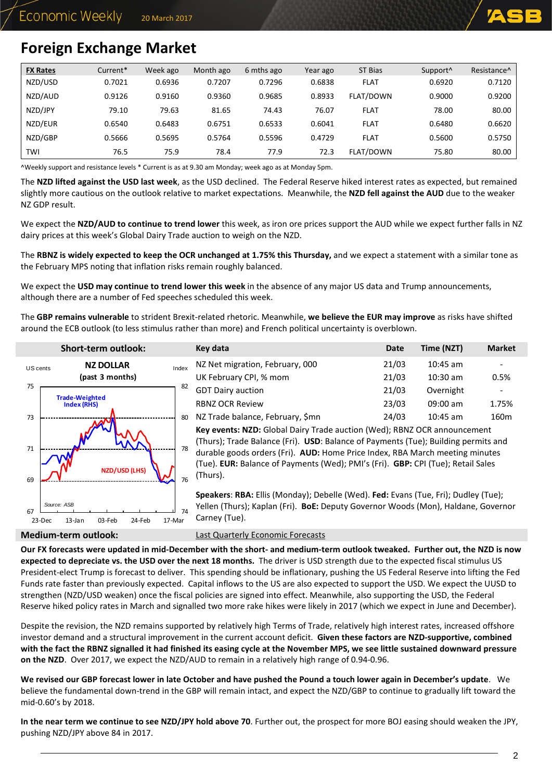

## <span id="page-1-0"></span>**Foreign Exchange Market**

| <b>FX Rates</b> | Current* | Week ago | Month ago | 6 mths ago | Year ago | ST Bias     | Support <sup>^</sup> | Resistance <sup>^</sup> |
|-----------------|----------|----------|-----------|------------|----------|-------------|----------------------|-------------------------|
| NZD/USD         | 0.7021   | 0.6936   | 0.7207    | 0.7296     | 0.6838   | <b>FLAT</b> | 0.6920               | 0.7120                  |
| NZD/AUD         | 0.9126   | 0.9160   | 0.9360    | 0.9685     | 0.8933   | FLAT/DOWN   | 0.9000               | 0.9200                  |
| NZD/JPY         | 79.10    | 79.63    | 81.65     | 74.43      | 76.07    | <b>FLAT</b> | 78.00                | 80.00                   |
| NZD/EUR         | 0.6540   | 0.6483   | 0.6751    | 0.6533     | 0.6041   | <b>FLAT</b> | 0.6480               | 0.6620                  |
| NZD/GBP         | 0.5666   | 0.5695   | 0.5764    | 0.5596     | 0.4729   | <b>FLAT</b> | 0.5600               | 0.5750                  |
| TWI             | 76.5     | 75.9     | 78.4      | 77.9       | 72.3     | FLAT/DOWN   | 75.80                | 80.00                   |

^Weekly support and resistance levels \* Current is as at 9.30 am Monday; week ago as at Monday 5pm.

The **NZD lifted against the USD last week**, as the USD declined. The Federal Reserve hiked interest rates as expected, but remained slightly more cautious on the outlook relative to market expectations. Meanwhile, the **NZD fell against the AUD** due to the weaker NZ GDP result.

We expect the **NZD/AUD to continue to trend lower** this week, as iron ore prices support the AUD while we expect further falls in NZ dairy prices at this week's Global Dairy Trade auction to weigh on the NZD.

The **RBNZ is widely expected to keep the OCR unchanged at 1.75% this Thursday,** and we expect a statement with a similar tone as the February MPS noting that inflation risks remain roughly balanced.

We expect the **USD may continue to trend lower this week** in the absence of any major US data and Trump announcements, although there are a number of Fed speeches scheduled this week.

The **GBP remains vulnerable** to strident Brexit-related rhetoric. Meanwhile, **we believe the EUR may improve** as risks have shifted around the ECB outlook (to less stimulus rather than more) and French political uncertainty is overblown.

| JIIUI LUCI III VULIVUN.                                |                                               | יי                          |
|--------------------------------------------------------|-----------------------------------------------|-----------------------------|
| <b>NZ DOLLAR</b><br>US cents<br>(past 3 months)        |                                               | Ν<br>U                      |
|                                                        |                                               | G                           |
| <b>Index (RHS)</b>                                     |                                               | R                           |
|                                                        | 80                                            | Ν                           |
|                                                        |                                               | K                           |
|                                                        |                                               | (                           |
|                                                        |                                               | d                           |
|                                                        |                                               | (Ē                          |
|                                                        | 76                                            | (Ē                          |
|                                                        |                                               | S                           |
| Source: ASB<br>$13$ -Jan<br>03-Feb<br>24-Feb<br>23-Dec | 74                                            | Y<br>۲                      |
|                                                        | <b>Trade-Weighted</b><br><b>NZD/USD (LHS)</b> | Index<br>82<br>78<br>17-Mar |

| Short-term outlook:          |       | Key data                         | <b>Date</b> | Time (NZT) | <b>Market</b> |
|------------------------------|-------|----------------------------------|-------------|------------|---------------|
| <b>NZ DOLLAR</b>             | Index | NZ Net migration, February, 000  | 21/03       | $10:45$ am |               |
| (past 3 months)              |       | UK February CPI, % mom           | 21/03       | $10:30$ am | 0.5%          |
|                              | 82    | <b>GDT Dairy auction</b>         | 21/03       | Overnight  |               |
| rade-Weighted<br>Index (RHS) |       | <b>RBNZ OCR Review</b>           | 23/03       | $09:00$ am | 1.75%         |
| <b>ANM</b>                   | 80    | NZ Trade balance, February, \$mn | 24/03       | $10:45$ am | 160m          |

**Key events: NZD:** Global Dairy Trade auction (Wed); RBNZ OCR announcement (Thurs); Trade Balance (Fri). **USD**: Balance of Payments (Tue); Building permits and durable goods orders (Fri). **AUD:** Home Price Index, RBA March meeting minutes (Tue). **EUR:** Balance of Payments (Wed); PMI's (Fri). **GBP:** CPI (Tue); Retail Sales (Thurs).

**Speakers**: **RBA:** Ellis (Monday); Debelle (Wed). **Fed:** Evans (Tue, Fri); Dudley (Tue); Yellen (Thurs); Kaplan (Fri). **BoE:** Deputy Governor Woods (Mon), Haldane, Governor Carney (Tue).

**Medium-term outlook:** [Last Quarterly Economic Forecasts](https://www.asb.co.nz/documents/economic-research/quarterly-economic-forecasts.html)

**Our FX forecasts were updated in mid-December with the short- and medium-term outlook tweaked. Further out, the NZD is now expected to depreciate vs. the USD over the next 18 months.** The driver is USD strength due to the expected fiscal stimulus US President-elect Trump is forecast to deliver. This spending should be inflationary, pushing the US Federal Reserve into lifting the Fed Funds rate faster than previously expected. Capital inflows to the US are also expected to support the USD. We expect the UUSD to strengthen (NZD/USD weaken) once the fiscal policies are signed into effect. Meanwhile, also supporting the USD, the Federal Reserve hiked policy rates in March and signalled two more rake hikes were likely in 2017 (which we expect in June and December).

Despite the revision, the NZD remains supported by relatively high Terms of Trade, relatively high interest rates, increased offshore investor demand and a structural improvement in the current account deficit. **Given these factors are NZD-supportive, combined with the fact the RBNZ signalled it had finished its easing cycle at the November MPS, we see little sustained downward pressure on the NZD**. Over 2017, we expect the NZD/AUD to remain in a relatively high range of 0.94-0.96.

**We revised our GBP forecast lower in late October and have pushed the Pound a touch lower again in December's update**. We believe the fundamental down-trend in the GBP will remain intact, and expect the NZD/GBP to continue to gradually lift toward the mid-0.60's by 2018.

**In the near term we continue to see NZD/JPY hold above 70**. Further out, the prospect for more BOJ easing should weaken the JPY, pushing NZD/JPY above 84 in 2017.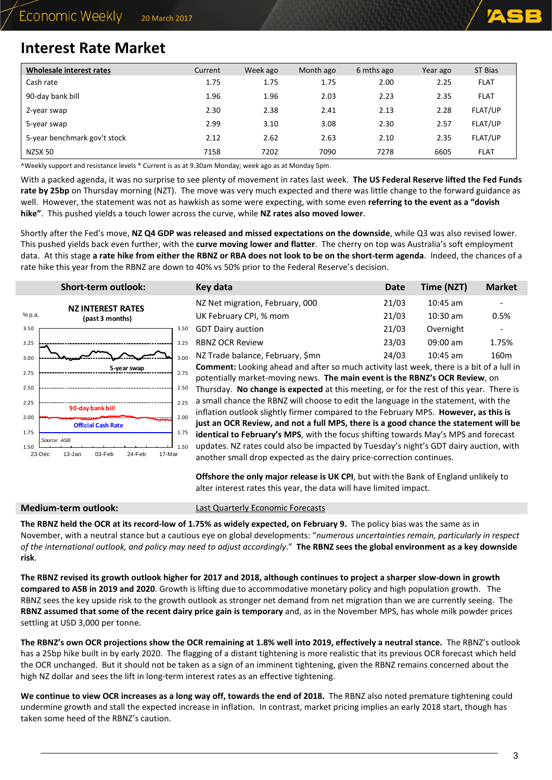

## <span id="page-2-0"></span>**Interest Rate Market**

| Wholesale interest rates     | Current | Week ago | Month ago | 6 mths ago | Year ago | ST Bias     |
|------------------------------|---------|----------|-----------|------------|----------|-------------|
| Cash rate                    | 1.75    | 1.75     | 1.75      | 2.00       | 2.25     | <b>FLAT</b> |
| 90-day bank bill             | 1.96    | 1.96     | 2.03      | 2.23       | 2.35     | <b>FLAT</b> |
| 2-year swap                  | 2.30    | 2.38     | 2.41      | 2.13       | 2.28     | FLAT/UP     |
| 5-year swap                  | 2.99    | 3.10     | 3.08      | 2.30       | 2.57     | FLAT/UP     |
| 5-year benchmark gov't stock | 2.12    | 2.62     | 2.63      | 2.10       | 2.35     | FLAT/UP     |
| NZSX 50                      | 7158    | 7202     | 7090      | 7278       | 6605     | <b>FLAT</b> |

^Weekly support and resistance levels \* Current is as at 9.30am Monday; week ago as at Monday 5pm.

With a packed agenda, it was no surprise to see plenty of movement in rates last week. **The US Federal Reserve lifted the Fed Funds rate by 25bp** on Thursday morning (NZT). The move was very much expected and there was little change to the forward guidance as well. However, the statement was not as hawkish as some were expecting, with some even **referring to the event as a "dovish hike"**. This pushed yields a touch lower across the curve, while **NZ rates also moved lower**.

Shortly after the Fed's move, **NZ Q4 GDP was released and missed expectations on the downside**, while Q3 was also revised lower. This pushed yields back even further, with the **curve moving lower and flatter**. The cherry on top was Australia's soft employment data. At this stage **a rate hike from either the RBNZ or RBA does not look to be on the short-term agenda**. Indeed, the chances of a rate hike this year from the RBNZ are down to 40% vs 50% prior to the Federal Reserve's decision.

|              | <b>Short-term outlook:</b>                                    |              | Key data                                                                                                                                                                    | <b>Date</b> | Time (NZT) | <b>Market</b>    |  |  |  |
|--------------|---------------------------------------------------------------|--------------|-----------------------------------------------------------------------------------------------------------------------------------------------------------------------------|-------------|------------|------------------|--|--|--|
|              | <b>NZ INTEREST RATES</b>                                      |              | NZ Net migration, February, 000                                                                                                                                             | 21/03       | $10:45$ am |                  |  |  |  |
| % p.a.       | (past 3 months)                                               |              | UK February CPI, % mom                                                                                                                                                      | 21/03       | $10:30$ am | 0.5%             |  |  |  |
| 3.50         |                                                               | 3.50         | <b>GDT Dairy auction</b>                                                                                                                                                    | 21/03       | Overnight  |                  |  |  |  |
| 3.25         |                                                               | 3.25         | <b>RBNZ OCR Review</b>                                                                                                                                                      | 23/03       | $09:00$ am | 1.75%            |  |  |  |
| 3.00         |                                                               | 3.00         | NZ Trade balance, February, \$mn                                                                                                                                            | 24/03       | $10:45$ am | 160 <sub>m</sub> |  |  |  |
| 2.75         | 5-year swap                                                   | 2.75         | Comment: Looking ahead and after so much activity last week, there is a bit of a lull in<br>potentially market-moving news. The main event is the RBNZ's OCR Review, on     |             |            |                  |  |  |  |
| 2.50         |                                                               | 2.50         | Thursday. No change is expected at this meeting, or for the rest of this year. There is                                                                                     |             |            |                  |  |  |  |
| 2.25         | 90-day bank bill                                              | 2.25<br>2.00 | a small chance the RBNZ will choose to edit the language in the statement, with the<br>inflation outlook slightly firmer compared to the February MPS. However, as this is  |             |            |                  |  |  |  |
| 2.00<br>1.75 | ------<br><b>Official Cash Rate</b>                           |              | just an OCR Review, and not a full MPS, there is a good chance the statement will be<br>identical to February's MPS, with the focus shifting towards May's MPS and forecast |             |            |                  |  |  |  |
| 1.50         | Source: ASB<br>24-Feb<br>17-Mar<br>23-Dec<br>13-Jan<br>03-Feb | 1.50         | updates. NZ rates could also be impacted by Tuesday's night's GDT dairy auction, with<br>another small drop expected as the dairy price-correction continues.               |             |            |                  |  |  |  |

**Offshore the only major release is UK CPI**, but with the Bank of England unlikely to alter interest rates this year, the data will have limited impact.

**Medium-term outlook:** [Last Quarterly Economic Forecasts](https://www.asb.co.nz/documents/economic-research/quarterly-economic-forecasts.html)

The RBNZ held the OCR at its record-low of 1.75% as widely expected, on February 9. The policy bias was the same as in November, with a neutral stance but a cautious eye on global developments: "*numerous uncertainties remain, particularly in respect of the international outlook, and policy may need to adjust accordingly*." **The RBNZ sees the global environment as a key downside risk**.

**The RBNZ revised its growth outlook higher for 2017 and 2018, although continues to project a sharper slow-down in growth compared to ASB in 2019 and 2020**. Growth is lifting due to accommodative monetary policy and high population growth. The RBNZ sees the key upside risk to the growth outlook as stronger net demand from net migration than we are currently seeing. The **RBNZ assumed that some of the recent dairy price gain is temporary** and, as in the November MPS, has whole milk powder prices settling at USD 3,000 per tonne.

**The RBNZ's own OCR projections show the OCR remaining at 1.8% well into 2019, effectively a neutral stance.** The RBNZ's outlook has a 25bp hike built in by early 2020. The flagging of a distant tightening is more realistic that its previous OCR forecast which held the OCR unchanged. But it should not be taken as a sign of an imminent tightening, given the RBNZ remains concerned about the high NZ dollar and sees the lift in long-term interest rates as an effective tightening.

**We continue to view OCR increases as a long way off, towards the end of 2018.** The RBNZ also noted premature tightening could undermine growth and stall the expected increase in inflation. In contrast, market pricing implies an early 2018 start, though has taken some heed of the RBNZ's caution.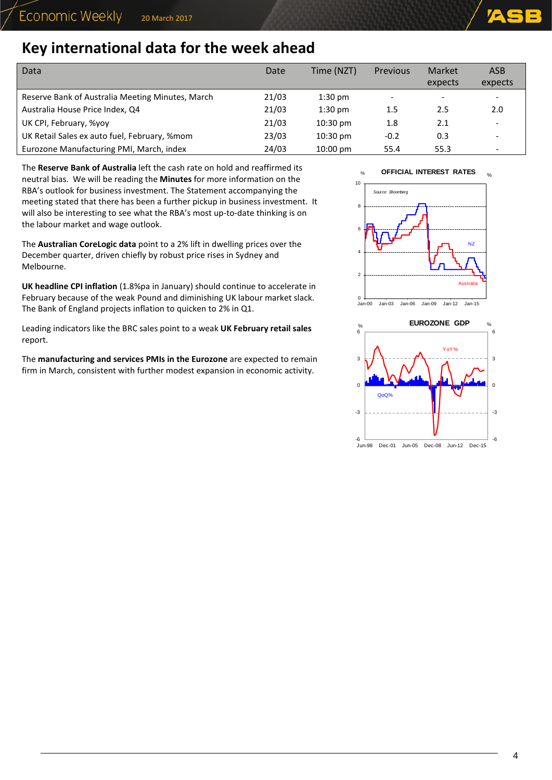# **Key international data for the week ahead**

| Data                                             | Date  | Time (NZT)         | Previous | Market<br>expects        | <b>ASB</b><br>expects |
|--------------------------------------------------|-------|--------------------|----------|--------------------------|-----------------------|
| Reserve Bank of Australia Meeting Minutes, March | 21/03 | $1:30$ pm          |          | $\overline{\phantom{a}}$ |                       |
| Australia House Price Index, Q4                  | 21/03 | $1:30$ pm          | 1.5      | 2.5                      | 2.0                   |
| UK CPI, February, %yoy                           | 21/03 | $10:30 \text{ pm}$ | 1.8      | 2.1                      |                       |
| UK Retail Sales ex auto fuel, February, %mom     | 23/03 | $10:30 \text{ pm}$ | $-0.2$   | 0.3                      |                       |
| Eurozone Manufacturing PMI, March, index         | 24/03 | $10:00 \text{ pm}$ | 55.4     | 55.3                     |                       |

The **Reserve Bank of Australia** left the cash rate on hold and reaffirmed its neutral bias. We will be reading the **Minutes** for more information on the RBA's outlook for business investment. The Statement accompanying the meeting stated that there has been a further pickup in business investment. It will also be interesting to see what the RBA's most up-to-date thinking is on the labour market and wage outlook.

The **Australian CoreLogic data** point to a 2% lift in dwelling prices over the December quarter, driven chiefly by robust price rises in Sydney and Melbourne.

**UK headline CPI inflation** (1.8%pa in January) should continue to accelerate in February because of the weak Pound and diminishing UK labour market slack. The Bank of England projects inflation to quicken to 2% in Q1.

Leading indicators like the BRC sales point to a weak **UK February retail sales** report.

The **manufacturing and services PMIs in the Eurozone** are expected to remain firm in March, consistent with further modest expansion in economic activity.





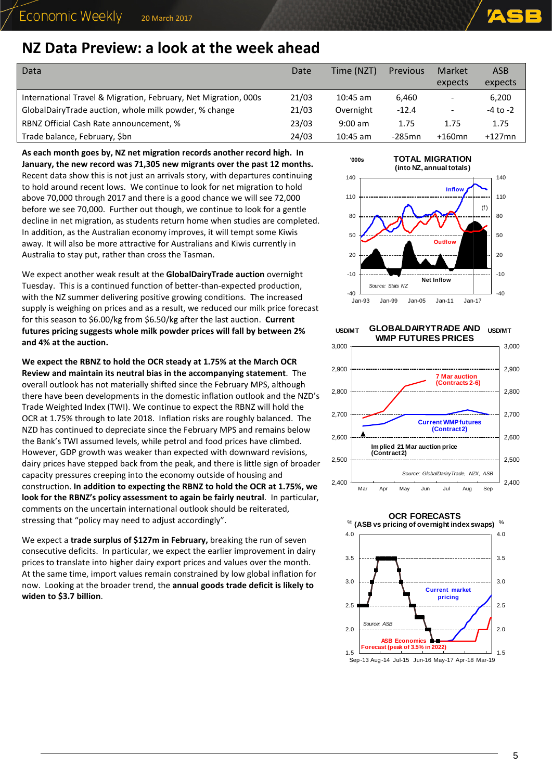# <span id="page-4-0"></span>**NZ Data Preview: a look at the week ahead**

| Data                                                            | Date  | Time (NZT) | <b>Previous</b> | Market                   | <b>ASB</b>   |
|-----------------------------------------------------------------|-------|------------|-----------------|--------------------------|--------------|
|                                                                 |       |            |                 | expects                  | expects      |
| International Travel & Migration, February, Net Migration, 000s | 21/03 | $10:45$ am | 6.460           | $\qquad \qquad -$        | 6,200        |
| GlobalDairyTrade auction, whole milk powder, % change           | 21/03 | Overnight  | $-12.4$         | $\overline{\phantom{a}}$ | $-4$ to $-2$ |
| RBNZ Official Cash Rate announcement, %                         | 23/03 | $9:00$ am  | 1.75            | 1.75                     | 1.75         |
| Trade balance, February, Sbn                                    | 24/03 | $10:45$ am | $-285$ mn       | $+160$ mn                | $+127$ mn    |

**As each month goes by, NZ net migration records another record high. In January, the new record was 71,305 new migrants over the past 12 months.**  Recent data show this is not just an arrivals story, with departures continuing to hold around recent lows. We continue to look for net migration to hold above 70,000 through 2017 and there is a good chance we will see 72,000 before we see 70,000. Further out though, we continue to look for a gentle decline in net migration, as students return home when studies are completed. In addition, as the Australian economy improves, it will tempt some Kiwis away. It will also be more attractive for Australians and Kiwis currently in Australia to stay put, rather than cross the Tasman.

We expect another weak result at the **GlobalDairyTrade auction** overnight Tuesday. This is a continued function of better-than-expected production, with the NZ summer delivering positive growing conditions. The increased supply is weighing on prices and as a result, we reduced our milk price forecast for this season to \$6.00/kg from \$6.50/kg after the last auction. **Current futures pricing suggests whole milk powder prices will fall by between 2% and 4% at the auction.**

**We expect the RBNZ to hold the OCR steady at 1.75% at the March OCR Review and maintain its neutral bias in the accompanying statement**. The overall outlook has not materially shifted since the February MPS, although there have been developments in the domestic inflation outlook and the NZD's Trade Weighted Index (TWI). We continue to expect the RBNZ will hold the OCR at 1.75% through to late 2018. Inflation risks are roughly balanced. The NZD has continued to depreciate since the February MPS and remains below the Bank's TWI assumed levels, while petrol and food prices have climbed. However, GDP growth was weaker than expected with downward revisions, dairy prices have stepped back from the peak, and there is little sign of broader capacity pressures creeping into the economy outside of housing and construction. **In addition to expecting the RBNZ to hold the OCR at 1.75%, we look for the RBNZ's policy assessment to again be fairly neutral**. In particular, comments on the uncertain international outlook should be reiterated, stressing that "policy may need to adjust accordingly".

We expect a **trade surplus of \$127m in February,** breaking the run of seven consecutive deficits. In particular, we expect the earlier improvement in dairy prices to translate into higher dairy export prices and values over the month. At the same time, import values remain constrained by low global inflation for now. Looking at the broader trend, the **annual goods trade deficit is likely to widen to \$3.7 billion**.



**GLOBALDAIRYTRADE AND WMP FUTURES PRICES USD/MT USD/MT**



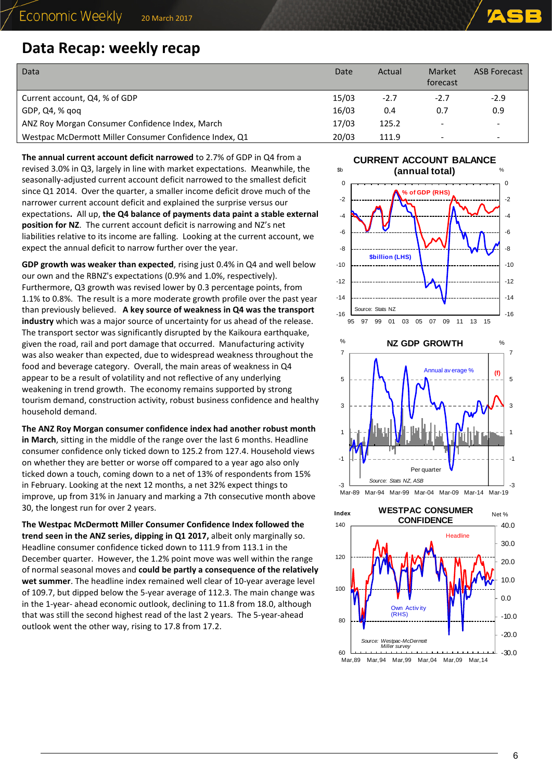## <span id="page-5-0"></span>**Data Recap: weekly recap**

| Data                                                   | Date  | Actual | Market<br>forecast       | <b>ASB Forecast</b>      |
|--------------------------------------------------------|-------|--------|--------------------------|--------------------------|
| Current account, Q4, % of GDP                          | 15/03 | $-2.7$ | $-2.7$                   | $-2.9$                   |
| GDP, Q4, % gog                                         | 16/03 | 0.4    | 0.7                      | 0.9                      |
| ANZ Roy Morgan Consumer Confidence Index, March        | 17/03 | 125.2  |                          | $\overline{\phantom{a}}$ |
| Westpac McDermott Miller Consumer Confidence Index, Q1 | 20/03 | 111.9  | $\overline{\phantom{a}}$ | $\overline{\phantom{0}}$ |

**The annual current account deficit narrowed** to 2.7% of GDP in Q4 from a revised 3.0% in Q3, largely in line with market expectations. Meanwhile, the seasonally-adjusted current account deficit narrowed to the smallest deficit since Q1 2014. Over the quarter, a smaller income deficit drove much of the narrower current account deficit and explained the surprise versus our expectations**.** All up, **the Q4 balance of payments data paint a stable external position for NZ**. The current account deficit is narrowing and NZ's net liabilities relative to its income are falling. Looking at the current account, we expect the annual deficit to narrow further over the year.

**GDP growth was weaker than expected**, rising just 0.4% in Q4 and well below our own and the RBNZ's expectations (0.9% and 1.0%, respectively). Furthermore, Q3 growth was revised lower by 0.3 percentage points, from 1.1% to 0.8%. The result is a more moderate growth profile over the past year than previously believed. **A key source of weakness in Q4 was the transport industry** which was a major source of uncertainty for us ahead of the release. The transport sector was significantly disrupted by the Kaikoura earthquake, given the road, rail and port damage that occurred. Manufacturing activity was also weaker than expected, due to widespread weakness throughout the food and beverage category. Overall, the main areas of weakness in Q4 appear to be a result of volatility and not reflective of any underlying weakening in trend growth. The economy remains supported by strong tourism demand, construction activity, robust business confidence and healthy household demand.

**The ANZ Roy Morgan consumer confidence index had another robust month in March**, sitting in the middle of the range over the last 6 months. Headline consumer confidence only ticked down to 125.2 from 127.4. Household views on whether they are better or worse off compared to a year ago also only ticked down a touch, coming down to a net of 13% of respondents from 15% in February. Looking at the next 12 months, a net 32% expect things to improve, up from 31% in January and marking a 7th consecutive month above 30, the longest run for over 2 years.

**The Westpac McDermott Miller Consumer Confidence Index followed the trend seen in the ANZ series, dipping in Q1 2017,** albeit only marginally so. Headline consumer confidence ticked down to 111.9 from 113.1 in the December quarter. However, the 1.2% point move was well within the range of normal seasonal moves and **could be partly a consequence of the relatively wet summer**. The headline index remained well clear of 10-year average level of 109.7, but dipped below the 5-year average of 112.3. The main change was in the 1-year- ahead economic outlook, declining to 11.8 from 18.0, although that was still the second highest read of the last 2 years. The 5-year-ahead outlook went the other way, rising to 17.8 from 17.2.

#### **CURRENT ACCOUNT BALANCE**





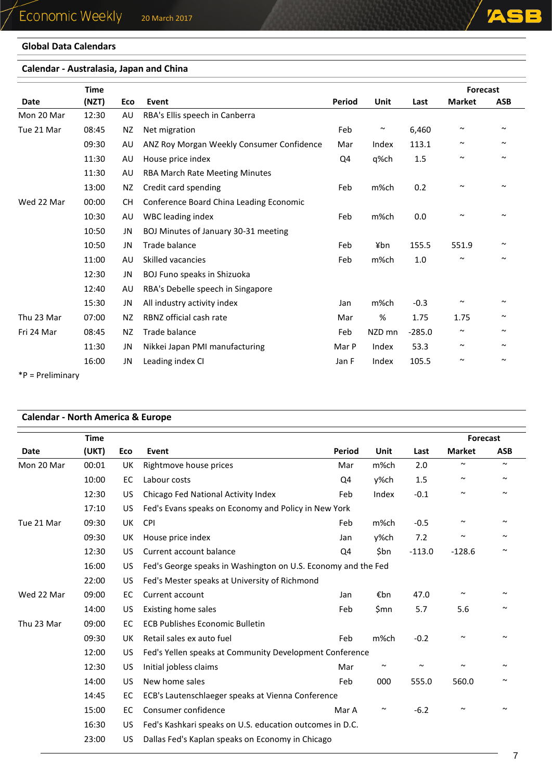## **Global Data Calendars**

## **Calendar - Australasia, Japan and China**

|            | <b>Time</b> |           |                                           |               |        |          | <b>Forecast</b>       |            |
|------------|-------------|-----------|-------------------------------------------|---------------|--------|----------|-----------------------|------------|
| Date       | (NZT)       | Eco       | Event                                     | <b>Period</b> | Unit   | Last     | <b>Market</b>         | <b>ASB</b> |
| Mon 20 Mar | 12:30       | AU        | RBA's Ellis speech in Canberra            |               |        |          |                       |            |
| Tue 21 Mar | 08:45       | NZ        | Net migration                             | Feb           | $\sim$ | 6,460    | $\sim$                | $\sim$     |
|            | 09:30       | AU        | ANZ Roy Morgan Weekly Consumer Confidence | Mar           | Index  | 113.1    | $\sim$                | $\sim$     |
|            | 11:30       | AU        | House price index                         | Q4            | q%ch   | 1.5      | $\sim$                | $\sim$     |
|            | 11:30       | AU        | RBA March Rate Meeting Minutes            |               |        |          |                       |            |
|            | 13:00       | NZ        | Credit card spending                      | Feb           | m%ch   | 0.2      | $\tilde{\phantom{a}}$ | $\sim$     |
| Wed 22 Mar | 00:00       | <b>CH</b> | Conference Board China Leading Economic   |               |        |          |                       |            |
|            | 10:30       | AU        | WBC leading index                         | Feb           | m%ch   | 0.0      | $\sim$                | $\sim$     |
|            | 10:50       | JN        | BOJ Minutes of January 30-31 meeting      |               |        |          |                       |            |
|            | 10:50       | JN        | Trade balance                             | Feb           | ¥bn    | 155.5    | 551.9                 | $\sim$     |
|            | 11:00       | AU        | Skilled vacancies                         | Feb           | m%ch   | $1.0\,$  | $\sim$                | $\sim$     |
|            | 12:30       | JN        | BOJ Funo speaks in Shizuoka               |               |        |          |                       |            |
|            | 12:40       | AU        | RBA's Debelle speech in Singapore         |               |        |          |                       |            |
|            | 15:30       | JN        | All industry activity index               | Jan           | m%ch   | $-0.3$   | $\tilde{\phantom{a}}$ | $\sim$     |
| Thu 23 Mar | 07:00       | NZ        | RBNZ official cash rate                   | Mar           | %      | 1.75     | 1.75                  | $\sim$     |
| Fri 24 Mar | 08:45       | NZ.       | Trade balance                             | Feb           | NZD mn | $-285.0$ | $\sim$                | $\sim$     |
|            | 11:30       | JN        | Nikkei Japan PMI manufacturing            | Mar P         | Index  | 53.3     | $\sim$                | $\sim$     |
|            | 16:00       | JN        | Leading index CI                          | Jan F         | Index  | 105.5    | $\tilde{\phantom{a}}$ | $\sim$     |

\*P = Preliminary

## **Calendar - North America & Europe**

|             | <b>Time</b> |     |                                                               |          |        |        | <b>Forecast</b>       |            |
|-------------|-------------|-----|---------------------------------------------------------------|----------|--------|--------|-----------------------|------------|
| <b>Date</b> | (UKT)       | Eco | Event                                                         | Period   | Unit   | Last   | <b>Market</b>         | <b>ASB</b> |
| Mon 20 Mar  | 00:01       | UK  | Rightmove house prices                                        | Mar      | m%ch   | 2.0    | $\tilde{\phantom{a}}$ | $\sim$     |
|             | 10:00       | EC  | Labour costs                                                  | Q4       | y%ch   | 1.5    | $\tilde{\phantom{a}}$ | $\sim$     |
|             | 12:30       | US. | Chicago Fed National Activity Index                           | Feb      | Index  | $-0.1$ | $\sim$                | $\sim$     |
|             | 17:10       | US. | Fed's Evans speaks on Economy and Policy in New York          |          |        |        |                       |            |
| Tue 21 Mar  | 09:30       | UK  | CPI                                                           | Feb      | m%ch   | $-0.5$ | $\sim$                | $\sim$     |
|             | 09:30       | UK  | House price index                                             | Jan      | y%ch   | 7.2    | $\tilde{\phantom{a}}$ | $\sim$     |
|             | 12:30       | US. | Current account balance                                       | $-128.6$ | $\sim$ |        |                       |            |
|             | 16:00       | US  | Fed's George speaks in Washington on U.S. Economy and the Fed |          |        |        |                       |            |
|             | 22:00       | US  | Fed's Mester speaks at University of Richmond                 |          |        |        |                       |            |
| Wed 22 Mar  | 09:00       | EC  | Current account                                               | Jan      | €bn    | 47.0   | $\sim$                | $\sim$     |
|             | 14:00       | US  | <b>Existing home sales</b>                                    | Feb      | \$mn   | 5.7    | 5.6                   | $\sim$     |
| Thu 23 Mar  | 09:00       | EC  | <b>ECB Publishes Economic Bulletin</b>                        |          |        |        |                       |            |
|             | 09:30       | UK  | Retail sales ex auto fuel                                     | Feb      | m%ch   | $-0.2$ | $\tilde{\phantom{a}}$ | $\sim$     |
|             | 12:00       | US. | Fed's Yellen speaks at Community Development Conference       |          |        |        |                       |            |
|             | 12:30       | US. | Initial jobless claims                                        | Mar      | $\sim$ | $\sim$ | $\tilde{\phantom{a}}$ | $\sim$     |
|             | 14:00       | US  | New home sales                                                | Feb      | 000    | 555.0  | 560.0                 | $\sim$     |
|             | 14:45       | EC  | ECB's Lautenschlaeger speaks at Vienna Conference             |          |        |        |                       |            |
|             | 15:00       | EC  | Consumer confidence                                           | Mar A    | $\sim$ | $-6.2$ | $\sim$                | $\sim$     |
|             | 16:30       | US  | Fed's Kashkari speaks on U.S. education outcomes in D.C.      |          |        |        |                       |            |
|             | 23:00       | US. | Dallas Fed's Kaplan speaks on Economy in Chicago              |          |        |        |                       |            |